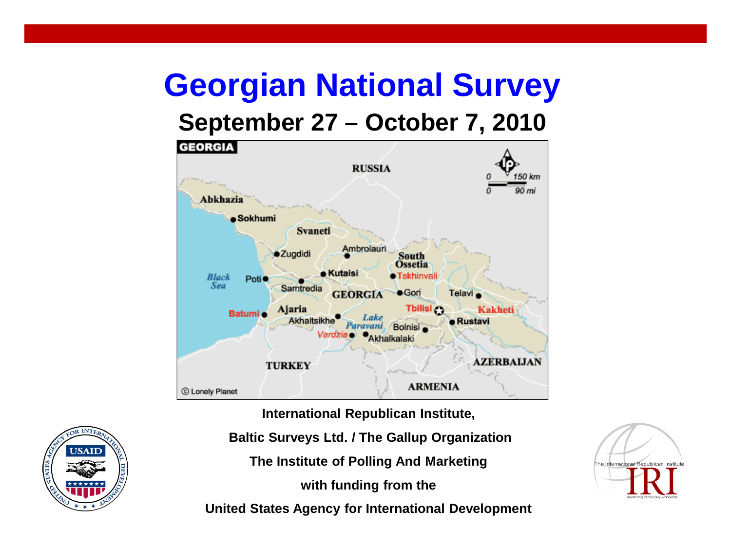### **Georgian National Survey**

#### **September 27 – October 7, 2010**



**International Republican Institute,**

**Baltic Surveys Ltd. / The Gallup Organization**

**The Institute of Polling And Marketing**

**with funding from the**

**United States Agency for International Development**



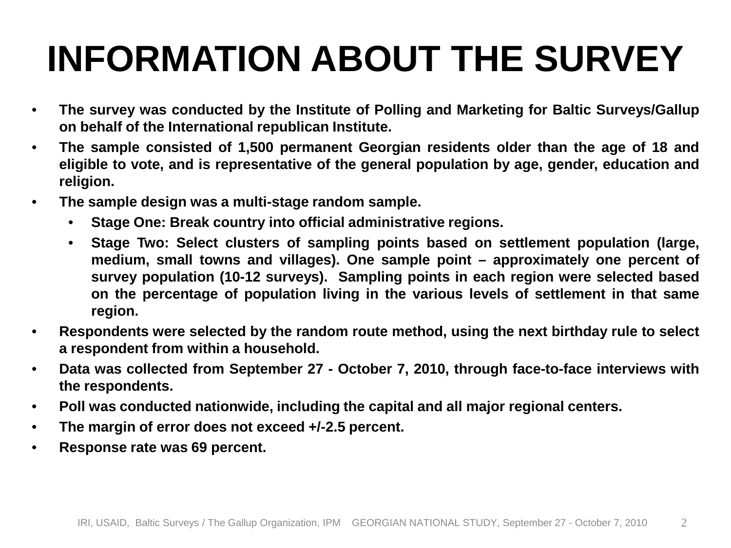### **INFORMATION ABOUT THE SURVEY**

- **The survey was conducted by the Institute of Polling and Marketing for Baltic Surveys/Gallup on behalf of the International republican Institute.**
- **The sample consisted of 1,500 permanent Georgian residents older than the age of 18 and eligible to vote, and is representative of the general population by age, gender, education and religion.**
- **The sample design was a multi-stage random sample.**
	- **Stage One: Break country into official administrative regions.**
	- **Stage Two: Select clusters of sampling points based on settlement population (large, medium, small towns and villages). One sample point – approximately one percent of survey population (10-12 surveys). Sampling points in each region were selected based on the percentage of population living in the various levels of settlement in that same region.**
- **Respondents were selected by the random route method, using the next birthday rule to select a respondent from within a household.**
- **Data was collected from September 27 - October 7, 2010, through face-to-face interviews with the respondents.**
- **Poll was conducted nationwide, including the capital and all major regional centers.**
- **The margin of error does not exceed +/-2.5 percent.**
- **Response rate was 69 percent.**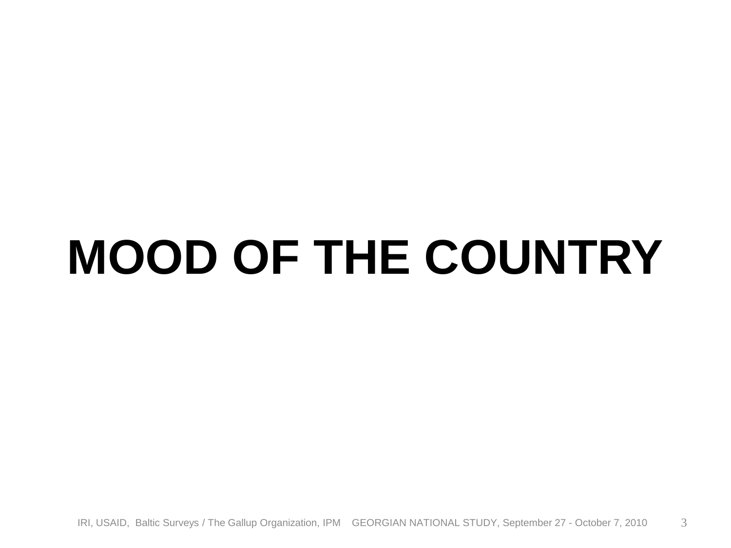### **MOOD OF THE COUNTRY**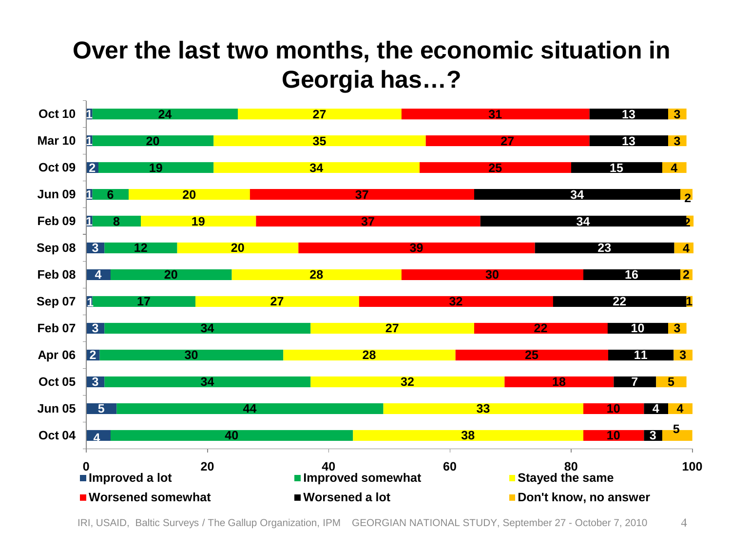#### **Over the last two months, the economic situation in Georgia has…?**



IRI, USAID, Baltic Surveys / The Gallup Organization, IPM GEORGIAN NATIONAL STUDY, September 27 - October 7, 2010 4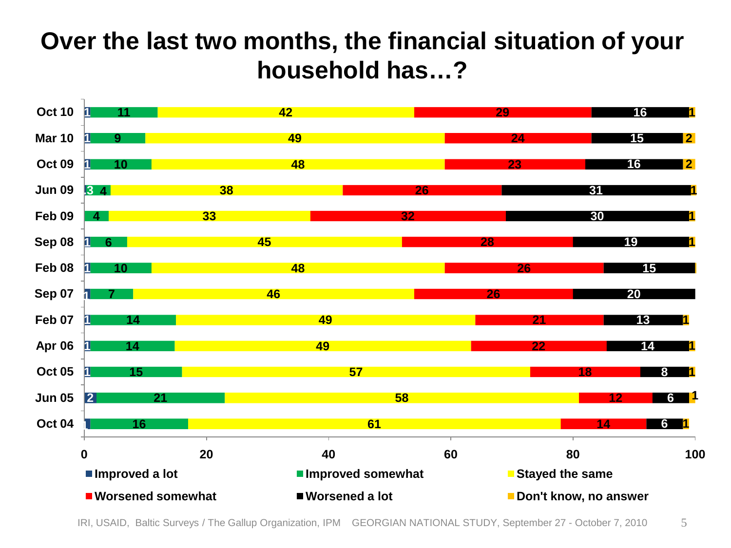#### **Over the last two months, the financial situation of your household has…?**



IRI, USAID, Baltic Surveys / The Gallup Organization, IPM GEORGIAN NATIONAL STUDY, September 27 - October 7, 2010 5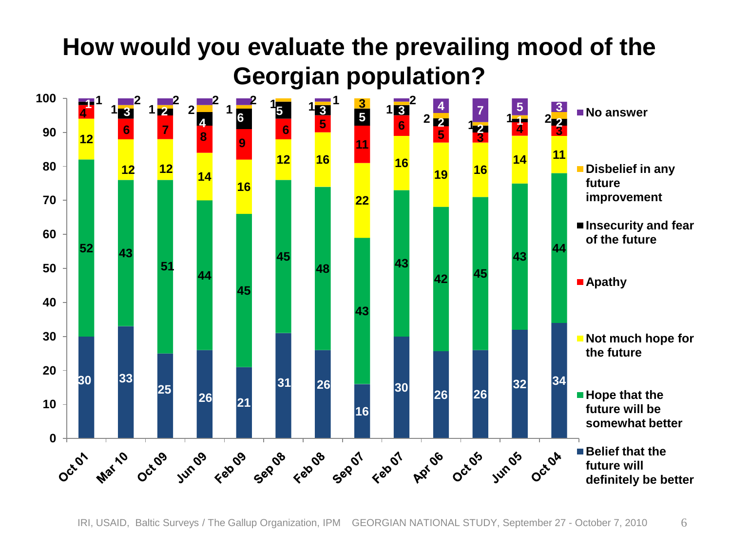#### **How would you evaluate the prevailing mood of the Georgian population?**  $\frac{1}{2}$  **2 2 2 1 2 1 3 1 3 1 3 1 3 1 3 1 3 1 3 1 1 1 1 1 5 1 3 <sup>3</sup> <sup>2</sup> <sup>1</sup> <sup>1</sup> <sup>2</sup> <sup>1</sup> <sup>1</sup> <sup>1</sup> <sup>3</sup> <sup>1</sup> <sup>6</sup> <sup>5</sup> <sup>3</sup> <sup>5</sup> <sup>3</sup>** ■ No answer **<sup>2</sup> <sup>2</sup> <sup>1</sup> <sup>2</sup> <sup>1</sup> <sup>1</sup> <sup>2</sup> <sup>5</sup> <sup>5</sup> <sup>3</sup> <sup>4</sup> <sup>3</sup> <sup>7</sup> <sup>8</sup> <sup>9</sup> 11 16 Disbelief in any 16 <sup>12</sup> <sup>14</sup> future improvement Insecurity and fear of the future 43 <sup>44</sup> <sup>44</sup> <sup>45</sup> Apathy Not much hope for the future 33 34 26 <sup>26</sup> <sup>26</sup> <sup>26</sup> <sup>21</sup>** ■ Hope that the **future will be somewhat better 0** +<br>0<br>0 + ■ Belief that the Junos regios segue region region por octos junos Octor Mari/O Octob **future will definitely be better**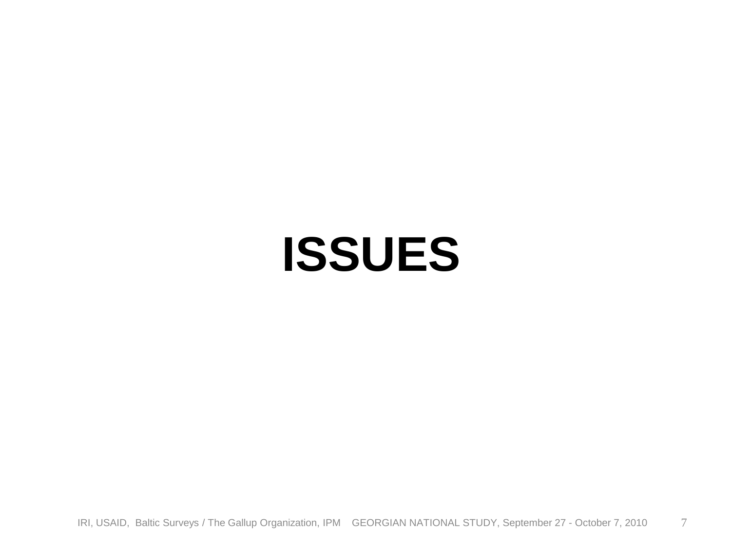### **ISSUES**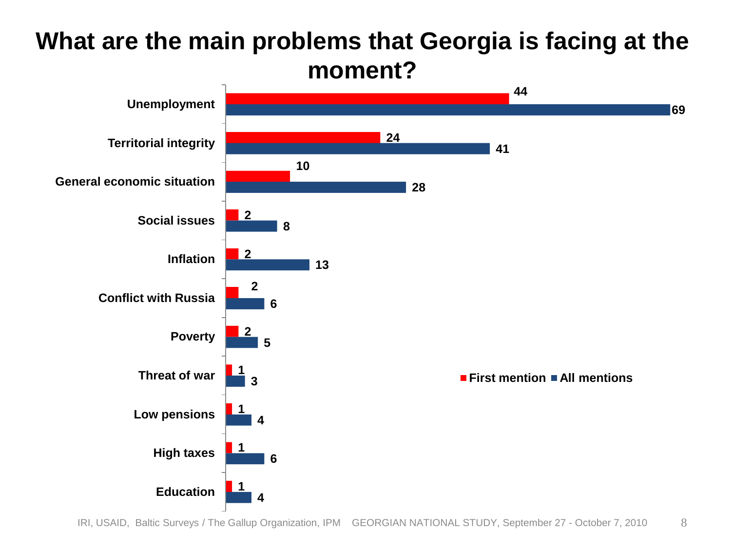

# **What are the main problems that Georgia is facing at the**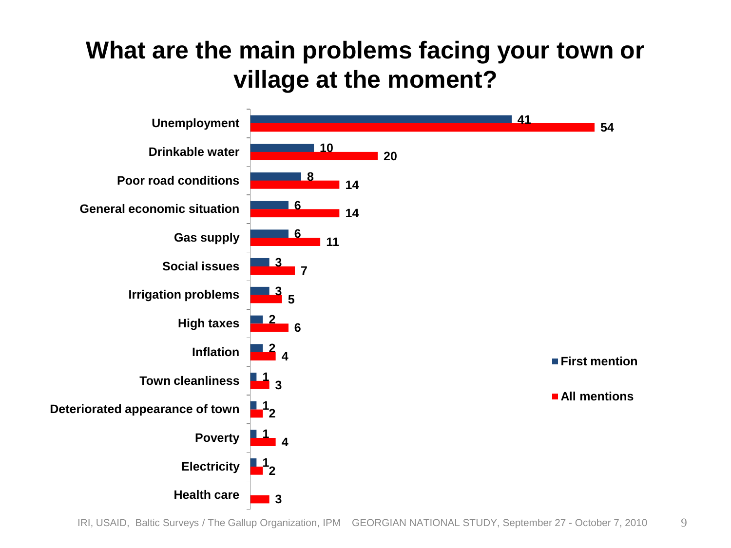#### **What are the main problems facing your town or village at the moment?**

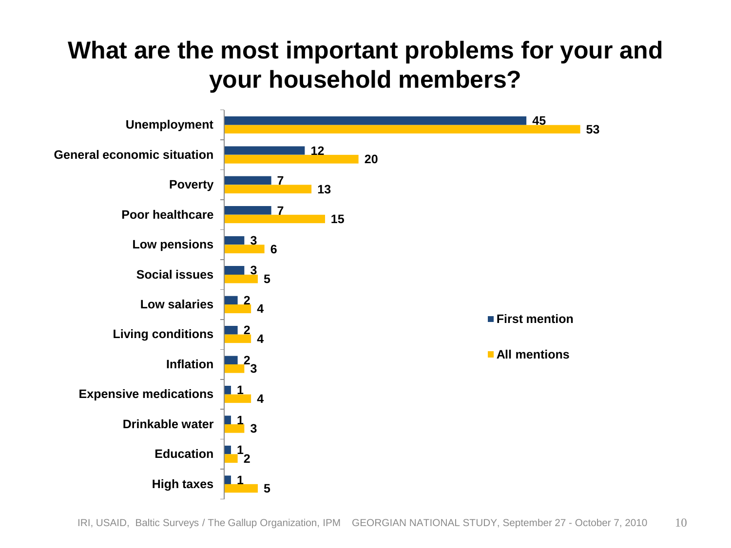#### **What are the most important problems for your and your household members?**

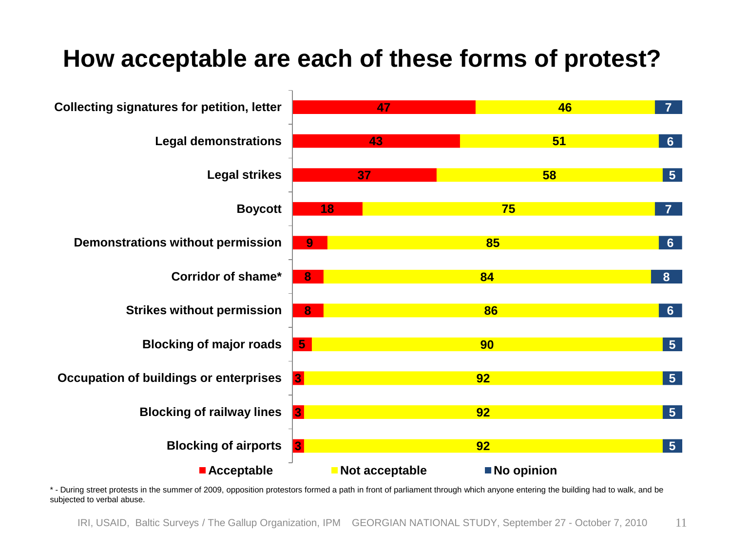#### **How acceptable are each of these forms of protest?**



\* - During street protests in the summer of 2009, opposition protestors formed a path in front of parliament through which anyone entering the building had to walk, and be subjected to verbal abuse.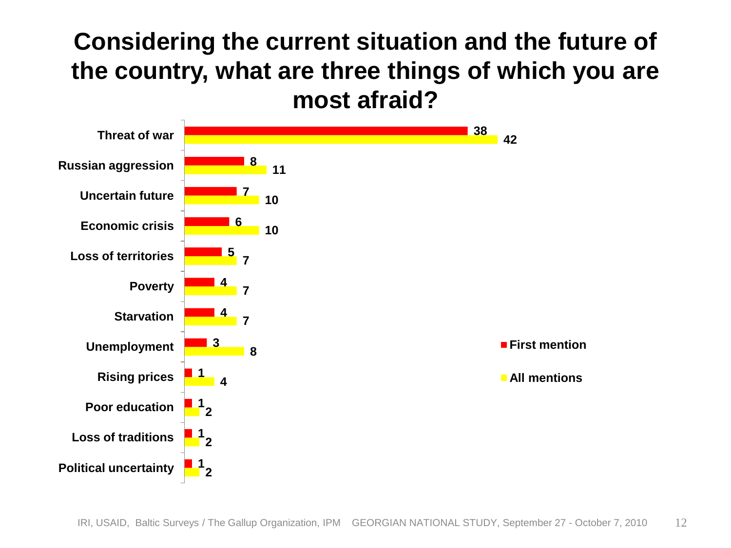#### **Considering the current situation and the future of the country, what are three things of which you are most afraid?**

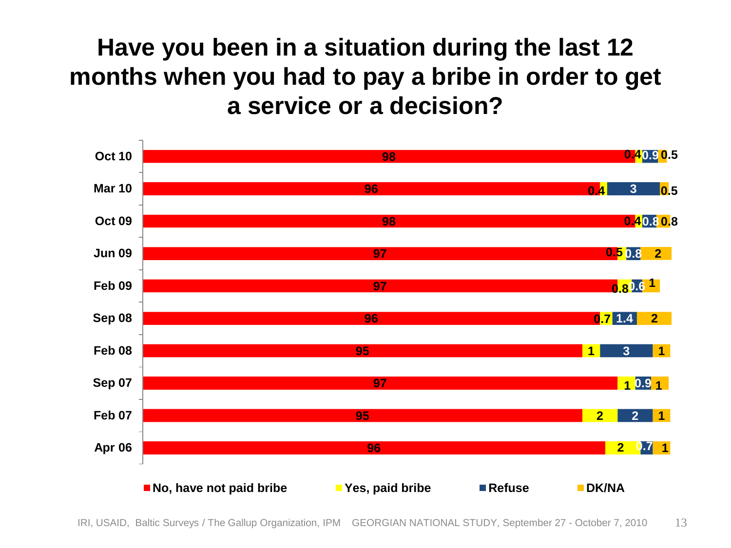**Have you been in a situation during the last 12 months when you had to pay a bribe in order to get a service or a decision?** 



IRI, USAID, Baltic Surveys / The Gallup Organization, IPM GEORGIAN NATIONAL STUDY, September 27 - October 7, 2010 13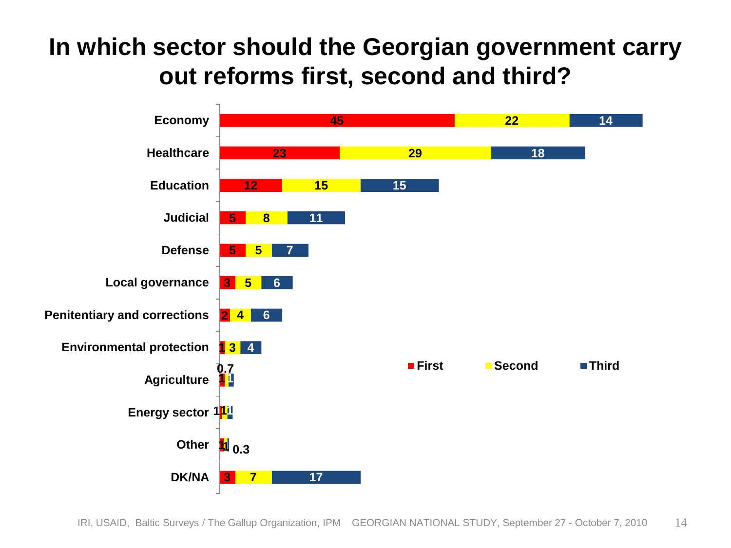#### **In which sector should the Georgian government carry out reforms first, second and third?**

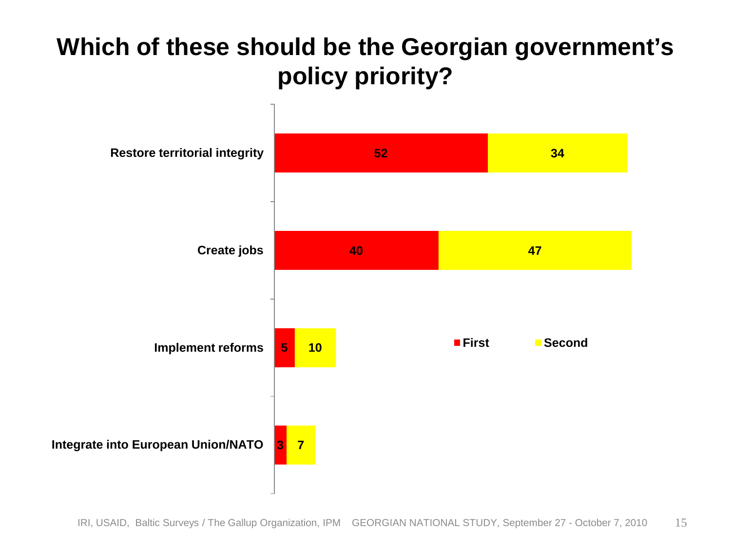#### **Which of these should be the Georgian government's policy priority?**

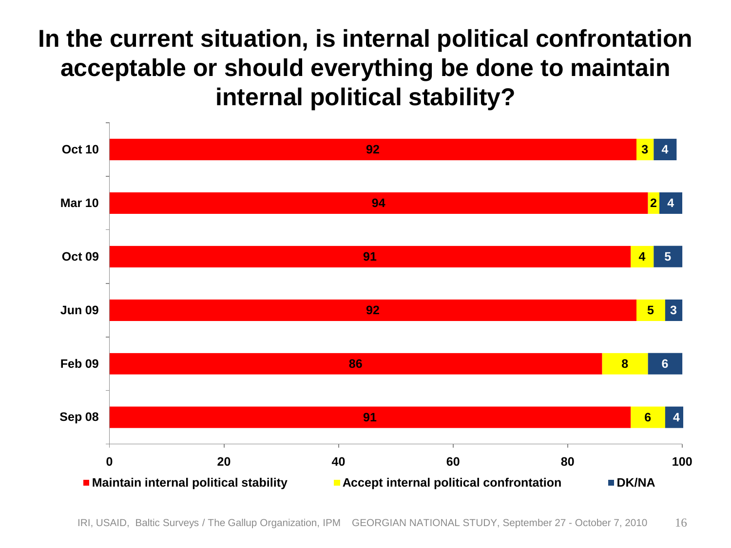#### **In the current situation, is internal political confrontation acceptable or should everything be done to maintain internal political stability?**

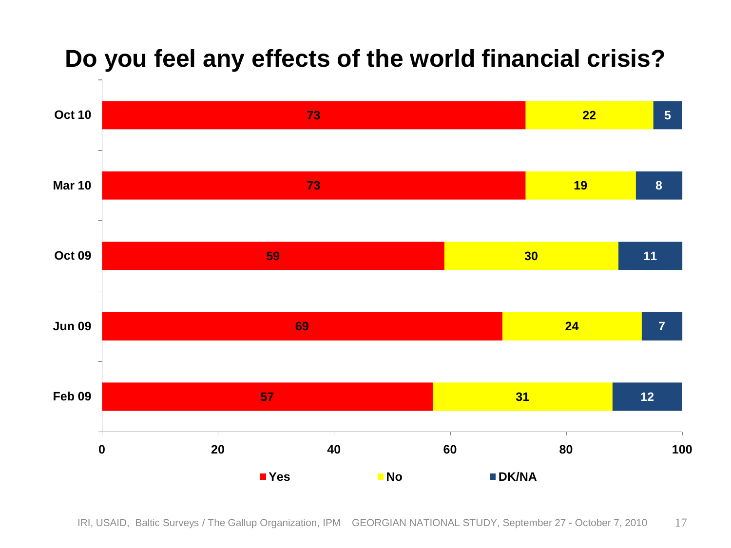#### **Do you feel any effects of the world financial crisis?**



IRI, USAID, Baltic Surveys / The Gallup Organization, IPM GEORGIAN NATIONAL STUDY, September 27 - October 7, 2010 17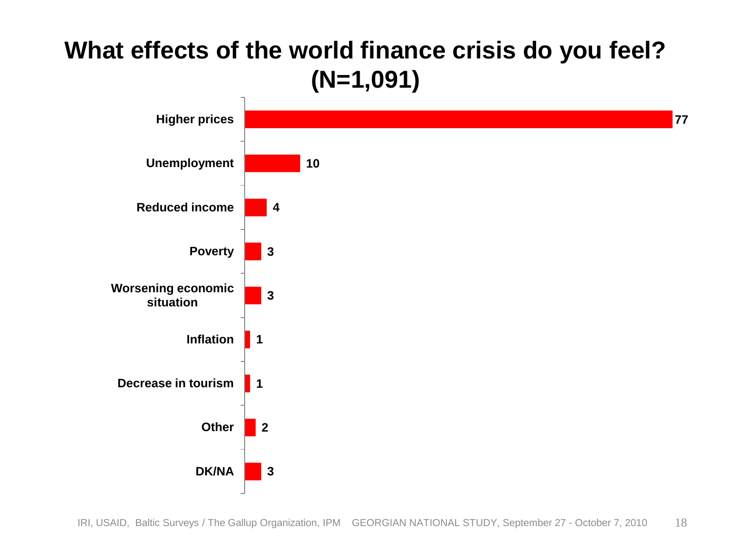#### **What effects of the world finance crisis do you feel? (N=1,091)**

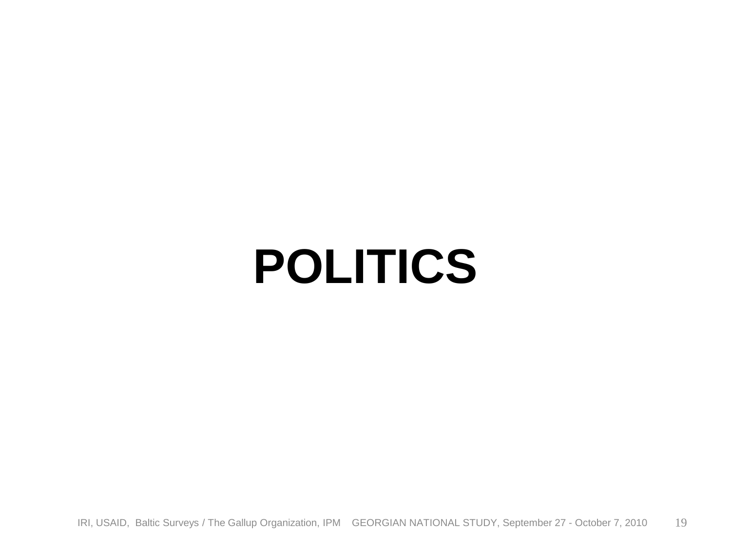### **POLITICS**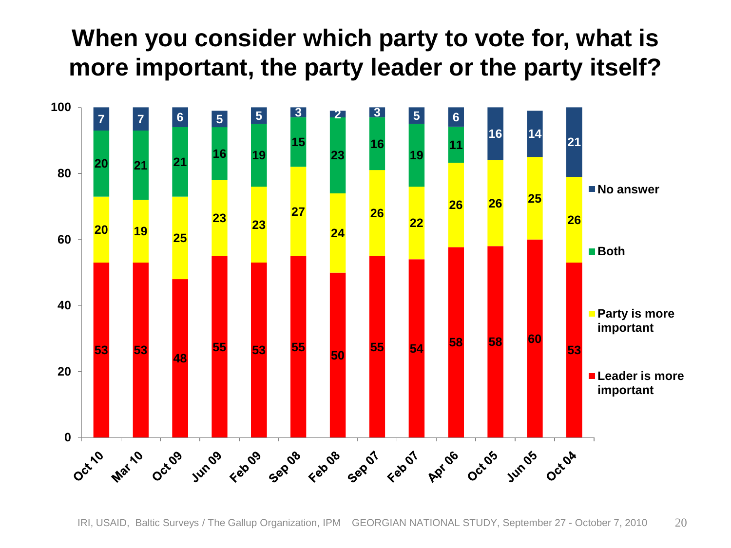#### **When you consider which party to vote for, what is more important, the party leader or the party itself?**

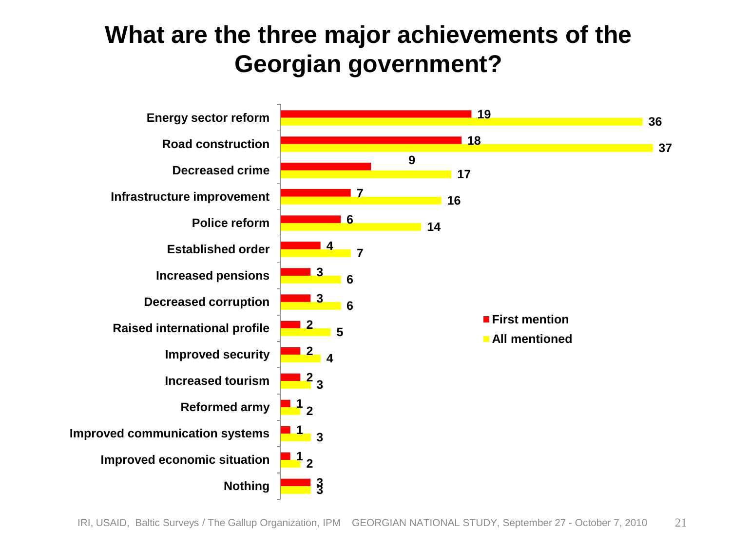#### **What are the three major achievements of the Georgian government?**

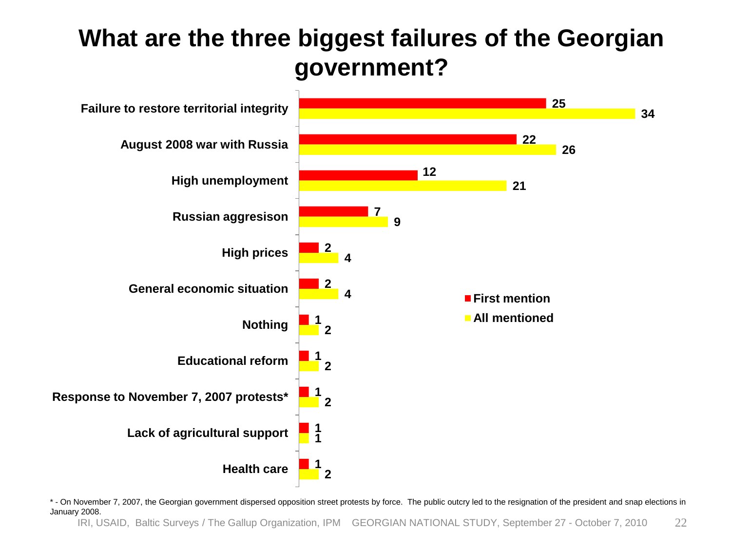#### **What are the three biggest failures of the Georgian government?**



\* - On November 7, 2007, the Georgian government dispersed opposition street protests by force. The public outcry led to the resignation of the president and snap elections in January 2008.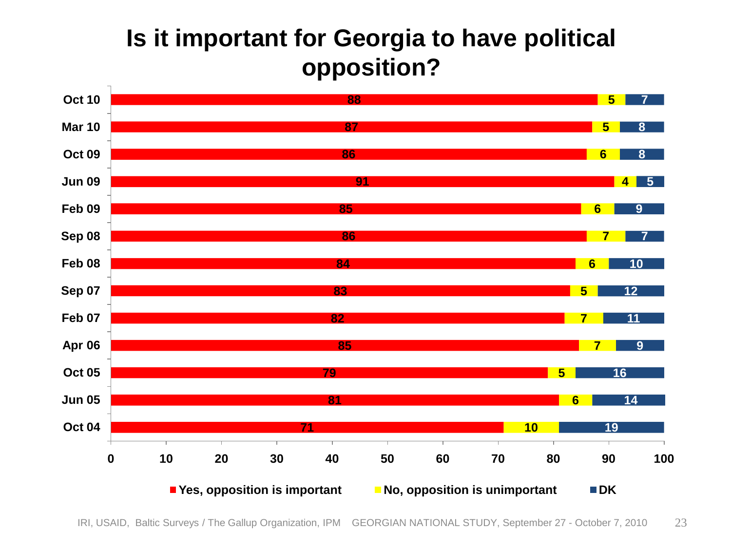#### **Is it important for Georgia to have political opposition?**



IRI, USAID, Baltic Surveys / The Gallup Organization, IPM GEORGIAN NATIONAL STUDY, September 27 - October 7, 2010 23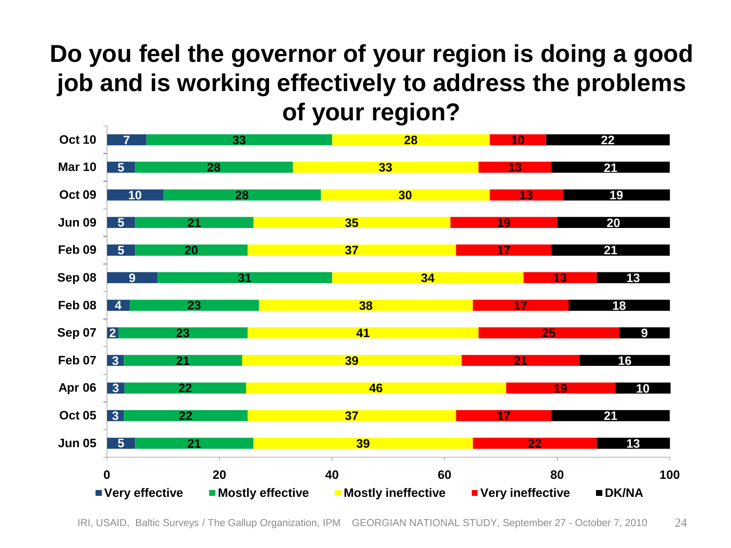#### **Do you feel the governor of your region is doing a good job and is working effectively to address the problems of your region?**



IRI, USAID, Baltic Surveys / The Gallup Organization, IPM GEORGIAN NATIONAL STUDY, September 27 - October 7, 2010 24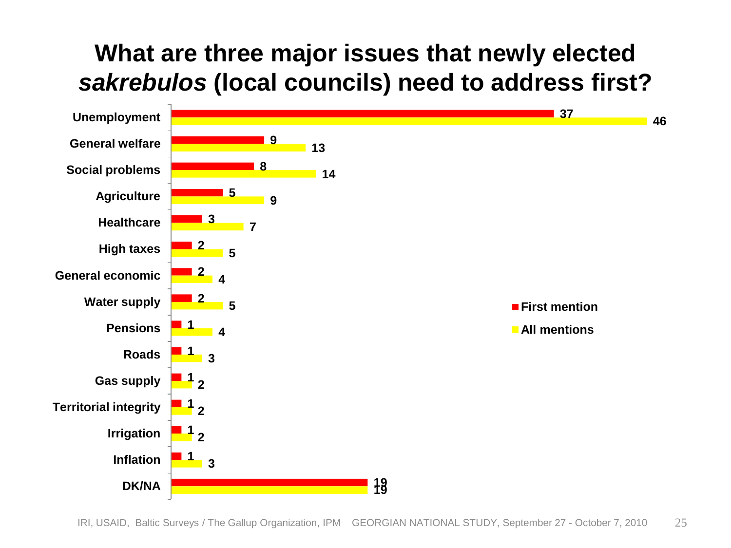#### **What are three major issues that newly elected**  *sakrebulos* **(local councils) need to address first?**

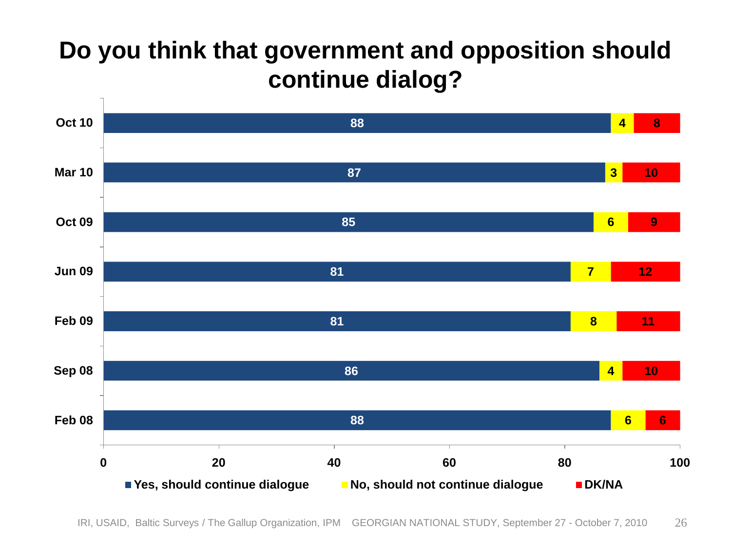#### **Do you think that government and opposition should continue dialog?**

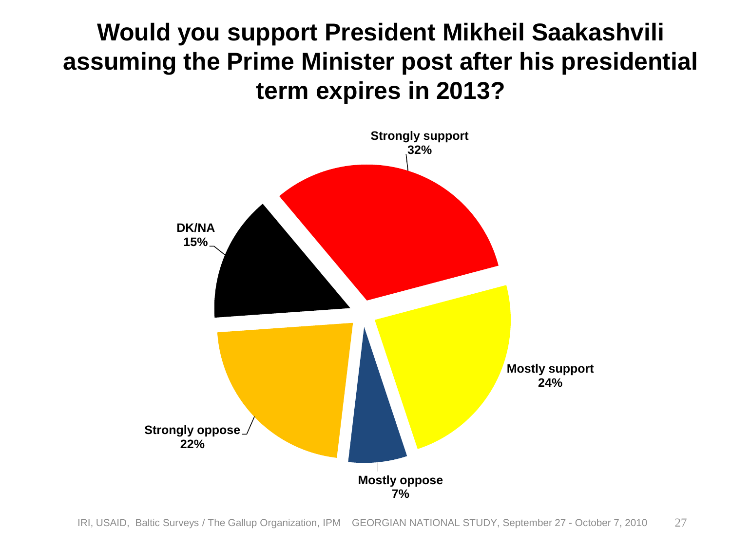#### **Would you support President Mikheil Saakashvili assuming the Prime Minister post after his presidential term expires in 2013?**

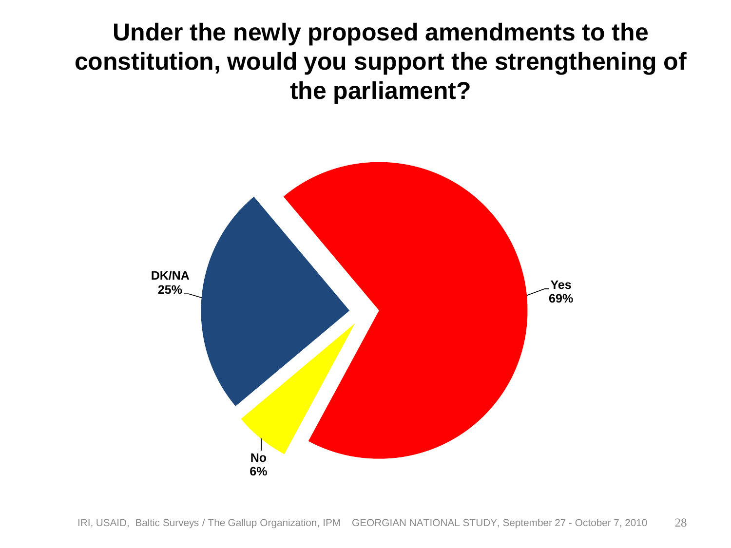**Under the newly proposed amendments to the constitution, would you support the strengthening of the parliament?**

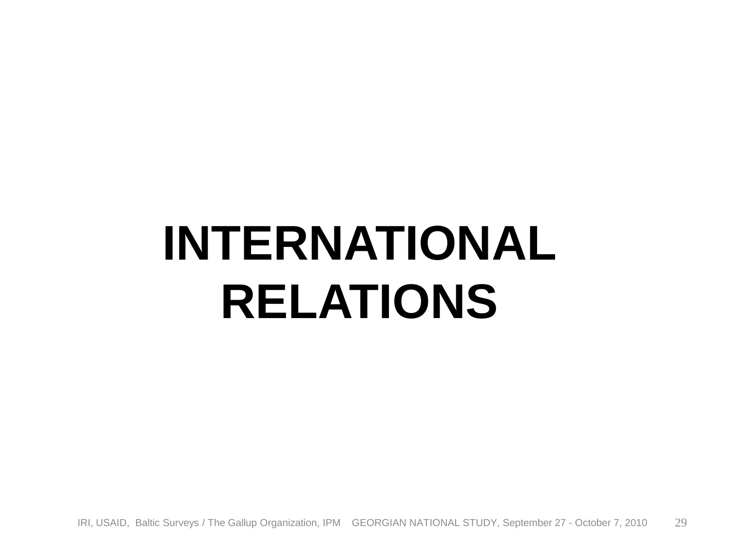## **INTERNATIONAL RELATIONS**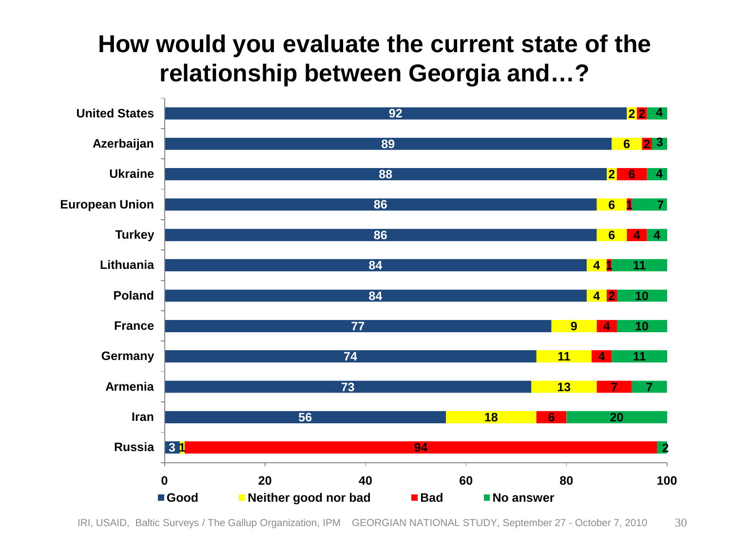#### **How would you evaluate the current state of the relationship between Georgia and…?**

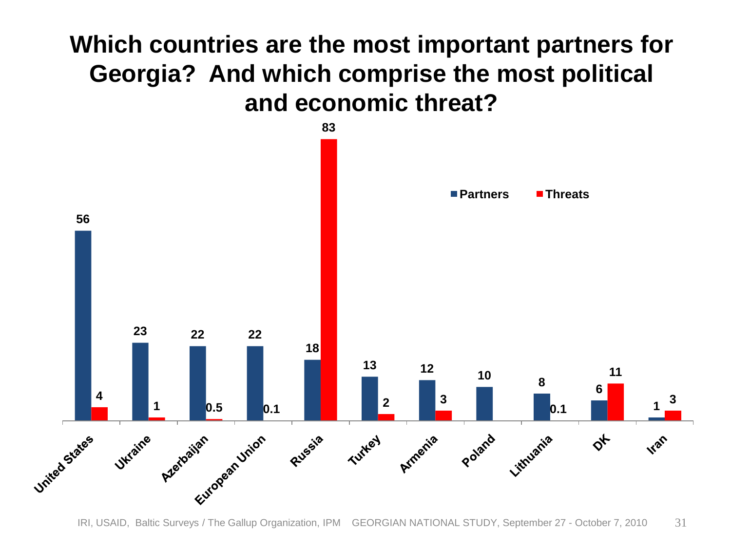#### **Which countries are the most important partners for Georgia? And which comprise the most political and economic threat?**

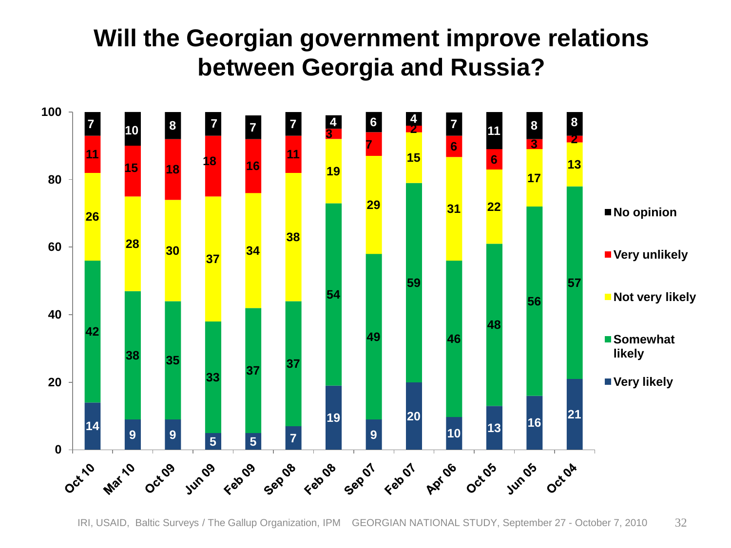#### **Will the Georgian government improve relations between Georgia and Russia?**

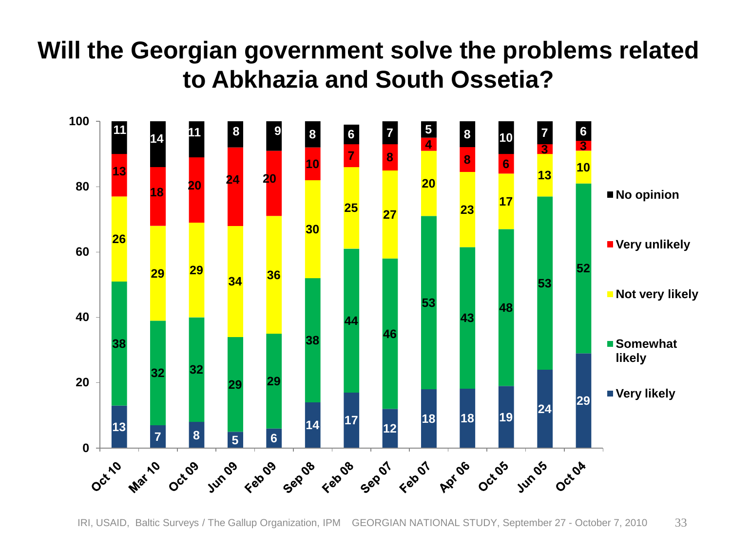#### **Will the Georgian government solve the problems related to Abkhazia and South Ossetia?**



IRI, USAID, Baltic Surveys / The Gallup Organization, IPM GEORGIAN NATIONAL STUDY, September 27 - October 7, 2010 33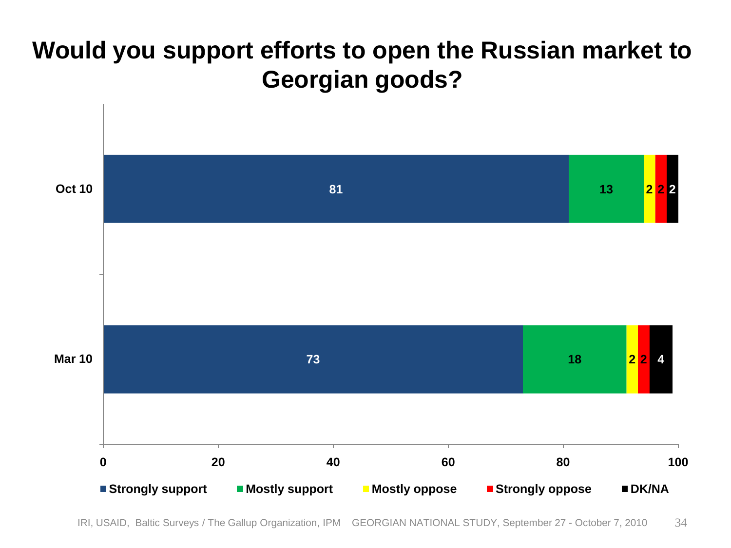#### **Would you support efforts to open the Russian market to Georgian goods?**



IRI, USAID, Baltic Surveys / The Gallup Organization, IPM GEORGIAN NATIONAL STUDY, September 27 - October 7, 2010 34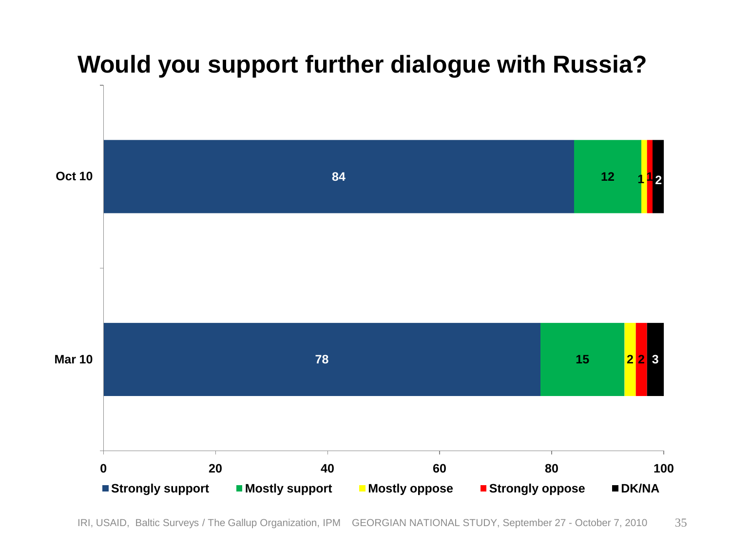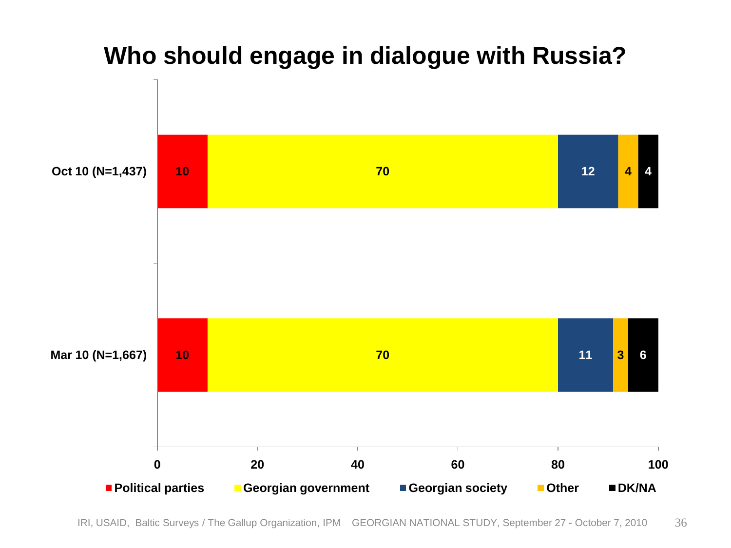

#### **Who should engage in dialogue with Russia?**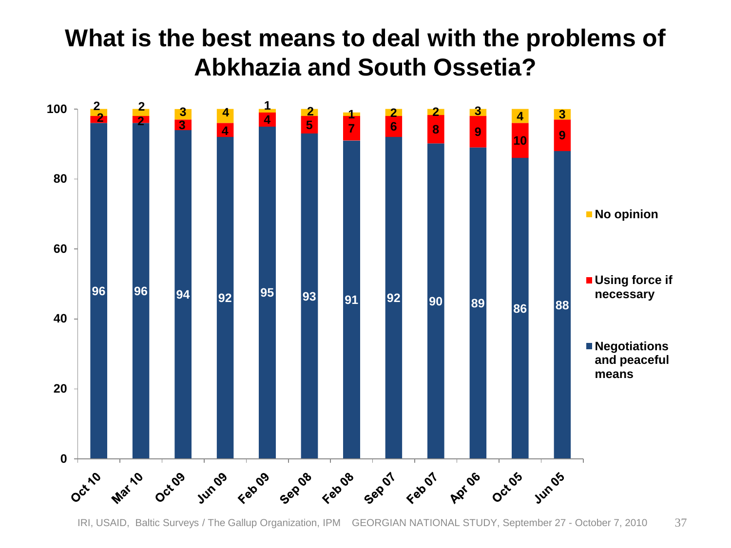#### **What is the best means to deal with the problems of Abkhazia and South Ossetia?**

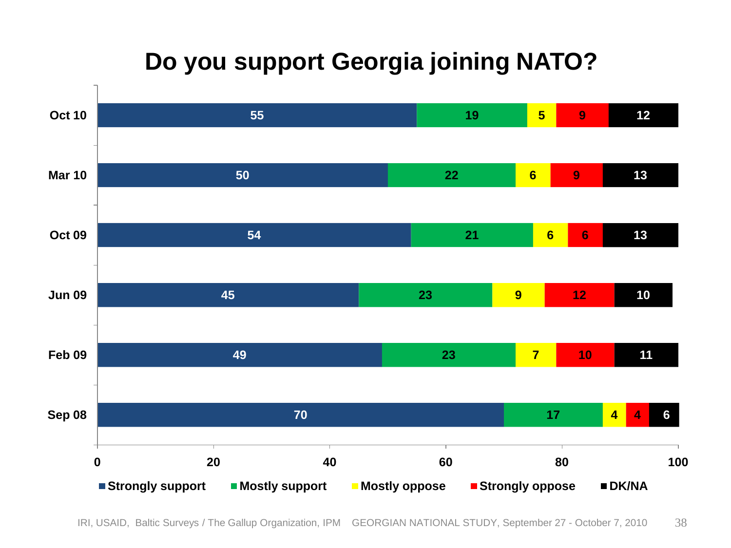### **Do you support Georgia joining NATO?**

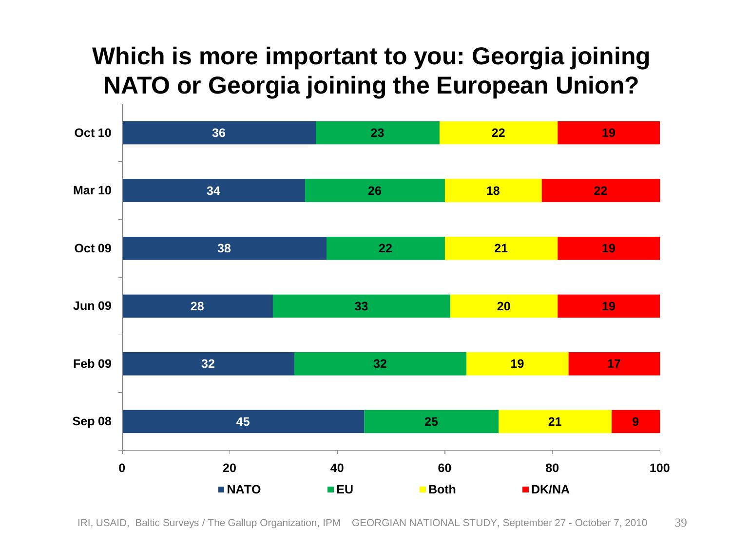#### **Which is more important to you: Georgia joining NATO or Georgia joining the European Union?**

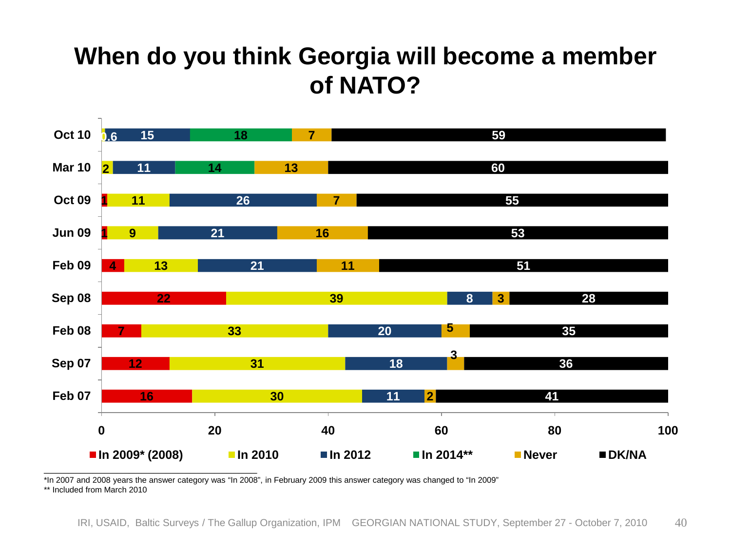#### **When do you think Georgia will become a member of NATO?**



\*In 2007 and 2008 years the answer category was "In 2008", in February 2009 this answer category was changed to "In 2009"

\*\* Included from March 2010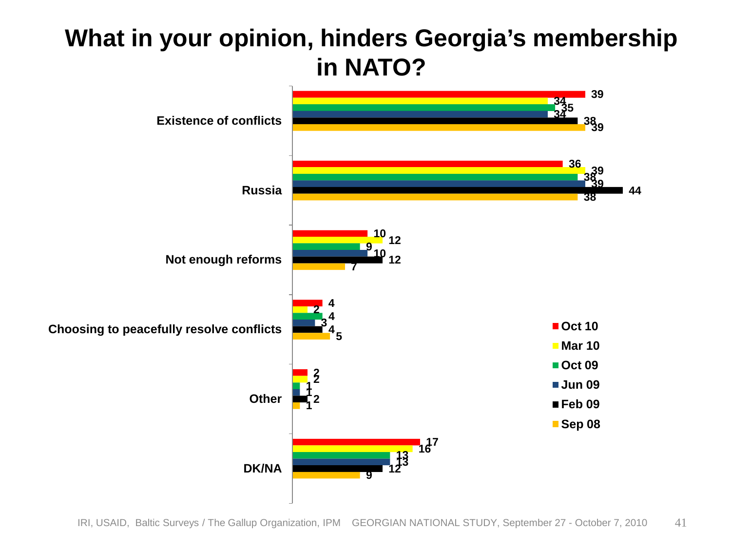#### **What in your opinion, hinders Georgia's membership in NATO?**

![](_page_40_Figure_1.jpeg)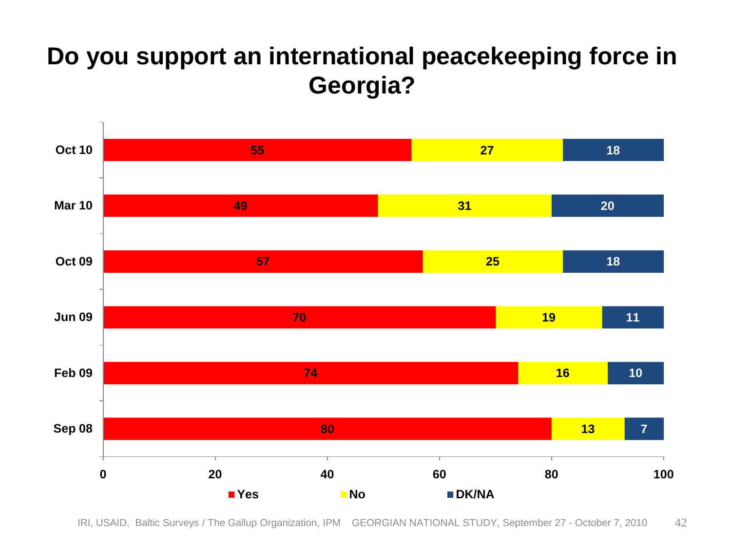#### **Do you support an international peacekeeping force in Georgia?**

![](_page_41_Figure_1.jpeg)

IRI, USAID, Baltic Surveys / The Gallup Organization, IPM GEORGIAN NATIONAL STUDY, September 27 - October 7, 2010 42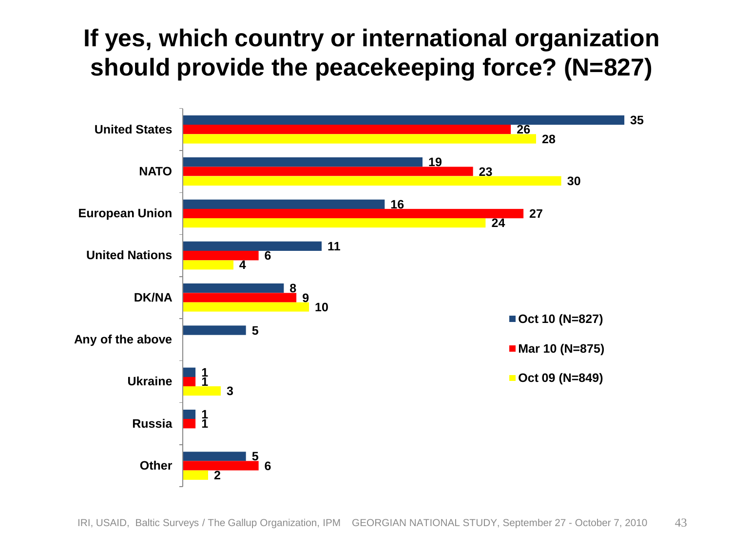#### **If yes, which country or international organization should provide the peacekeeping force? (N=827)**

![](_page_42_Figure_1.jpeg)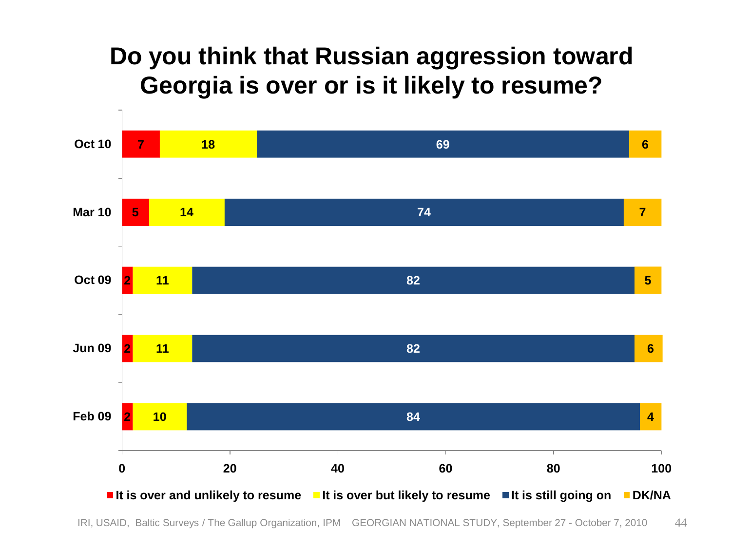#### **Do you think that Russian aggression toward Georgia is over or is it likely to resume?**

![](_page_43_Figure_1.jpeg)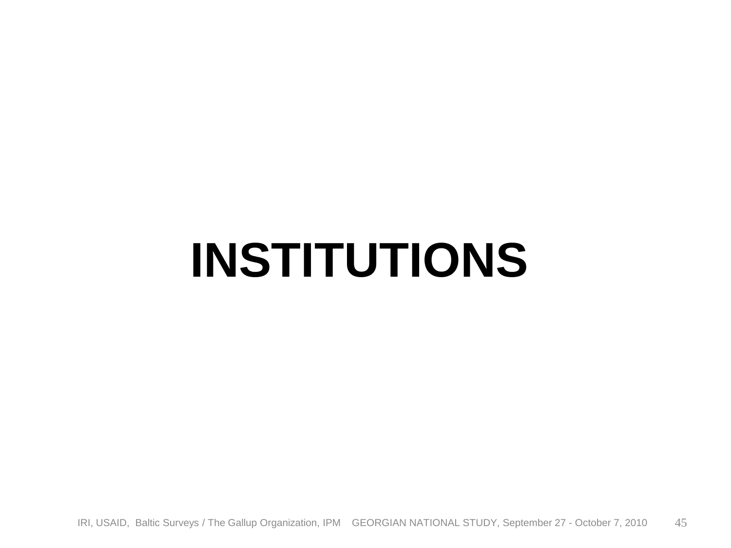### **INSTITUTIONS**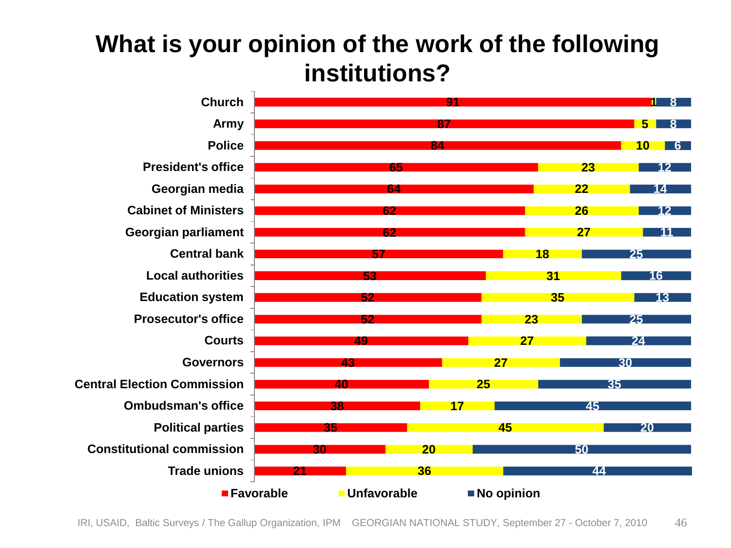#### **What is your opinion of the work of the following institutions?**

![](_page_45_Figure_1.jpeg)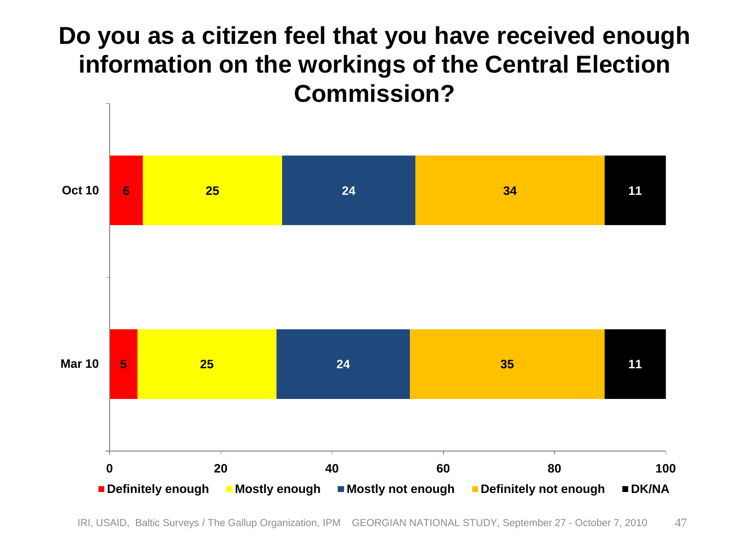#### **Do you as a citizen feel that you have received enough information on the workings of the Central Election Commission?**

![](_page_46_Figure_1.jpeg)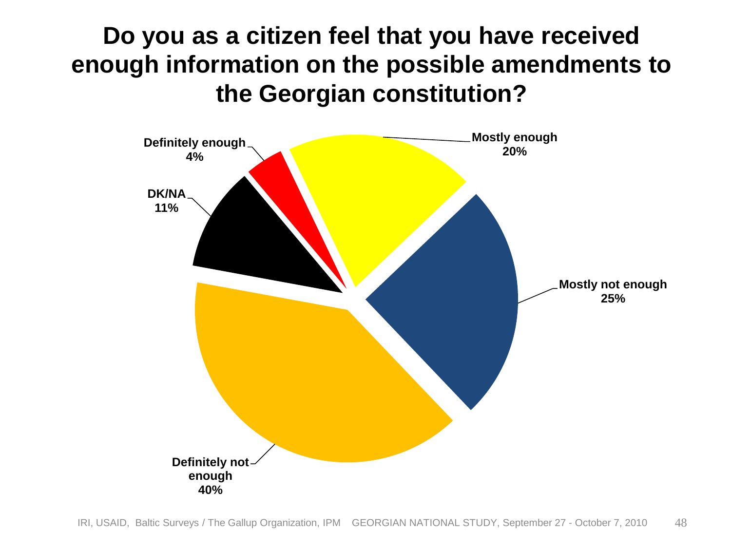#### **Do you as a citizen feel that you have received enough information on the possible amendments to the Georgian constitution?**

![](_page_47_Figure_1.jpeg)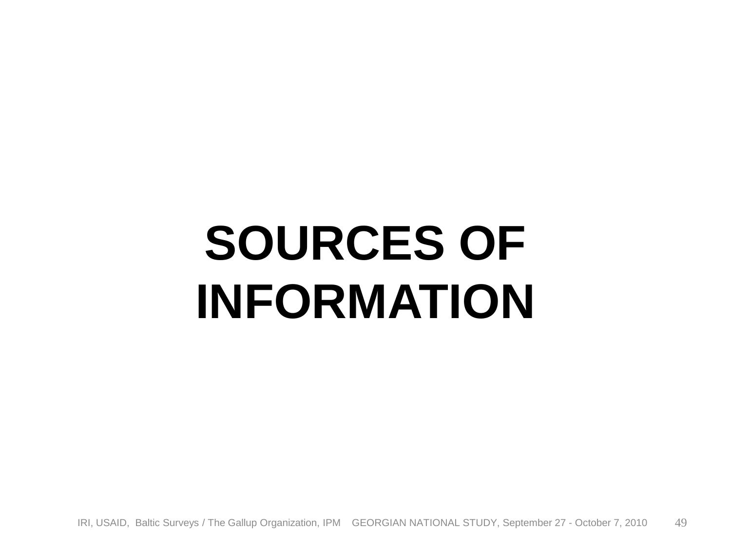# **SOURCES OF INFORMATION**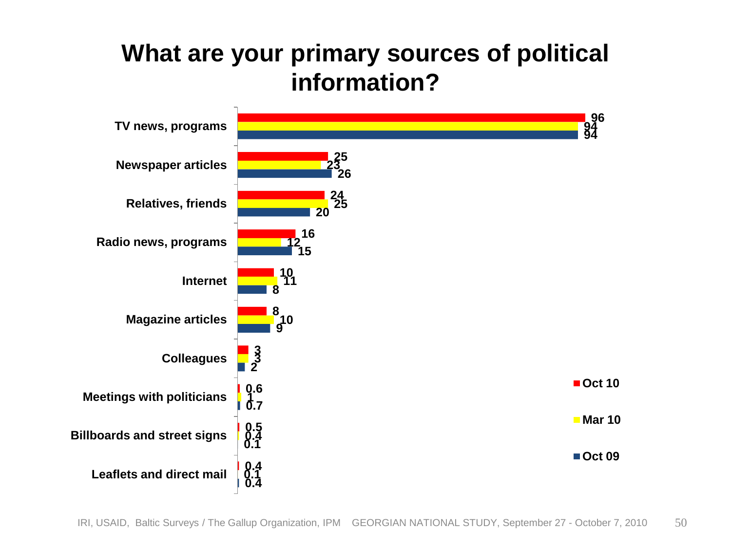#### **What are your primary sources of political information?**

![](_page_49_Figure_1.jpeg)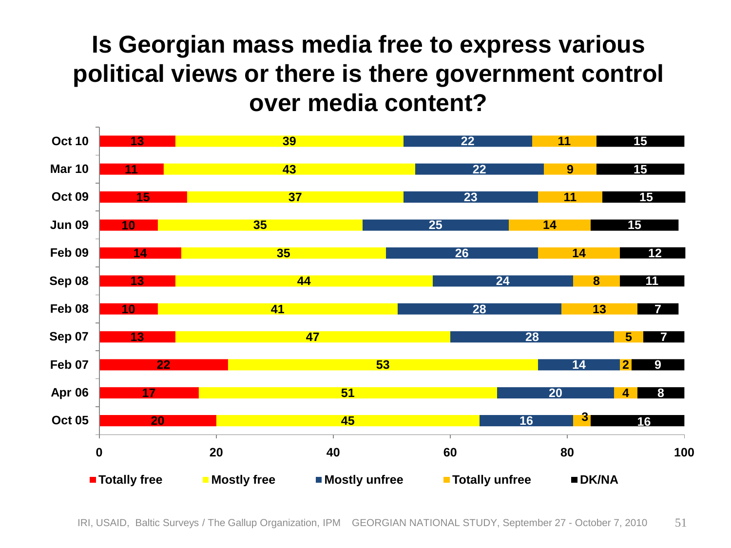#### **Is Georgian mass media free to express various political views or there is there government control over media content?**

![](_page_50_Figure_1.jpeg)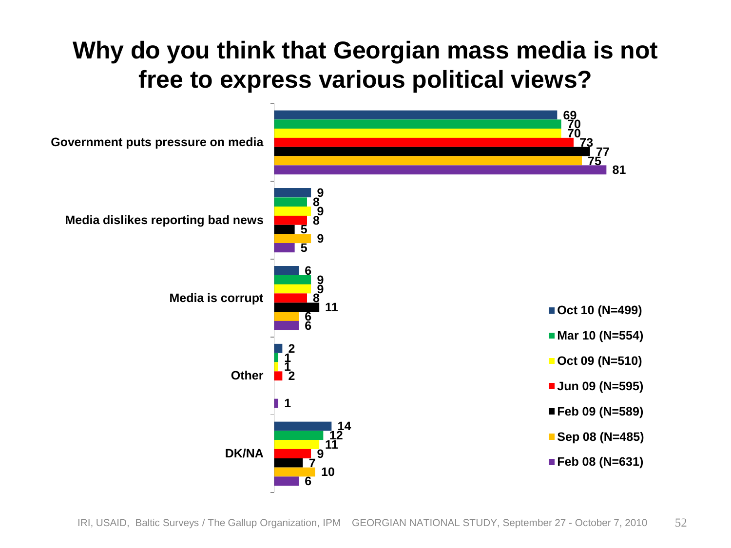#### **Why do you think that Georgian mass media is not free to express various political views?**

![](_page_51_Figure_1.jpeg)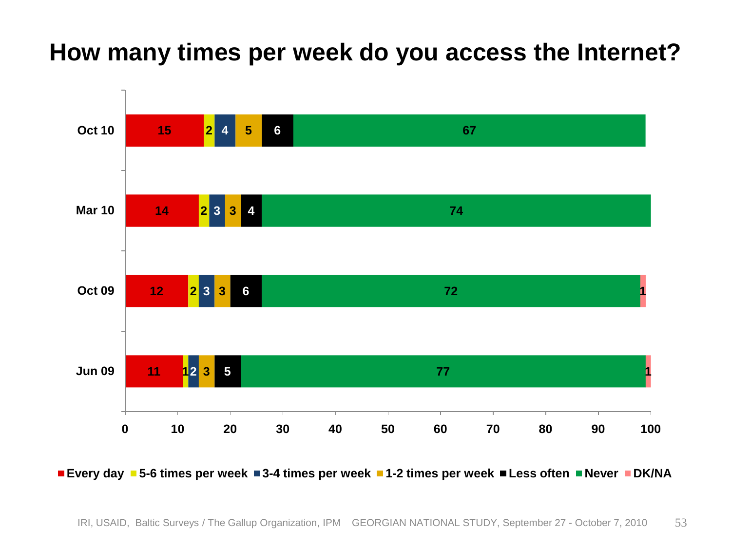#### **How many times per week do you access the Internet?**

![](_page_52_Figure_1.jpeg)

**Every day 5-6 times per week 3-4 times per week 1-2 times per week Less often Never DK/NA**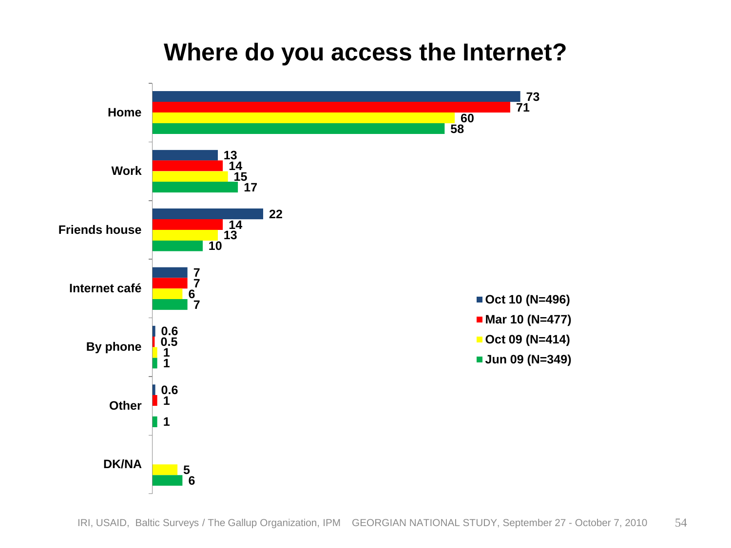#### **Where do you access the Internet?**

![](_page_53_Figure_1.jpeg)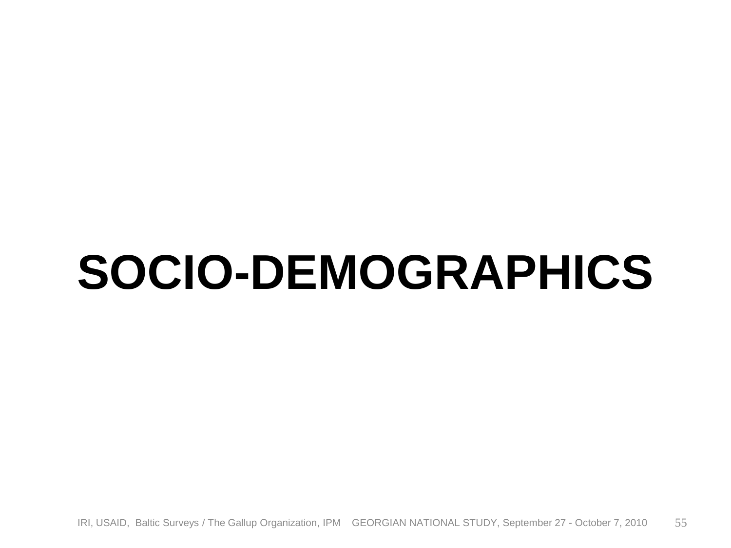### **SOCIO-DEMOGRAPHICS**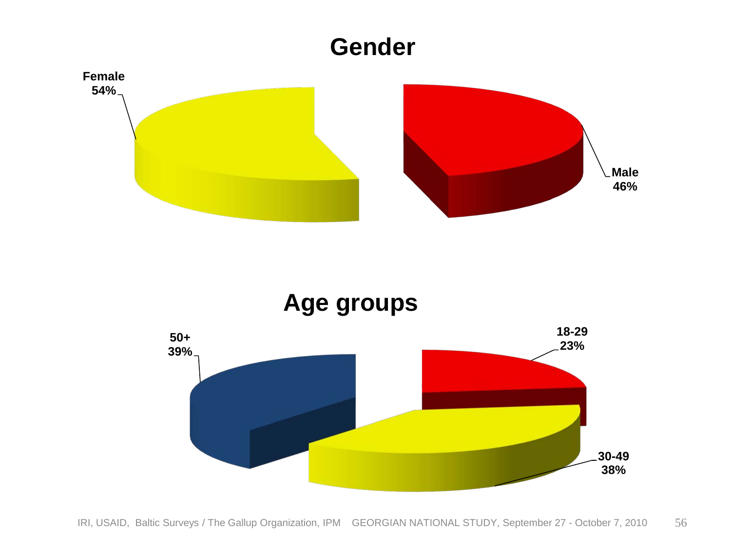![](_page_55_Figure_0.jpeg)

![](_page_55_Figure_1.jpeg)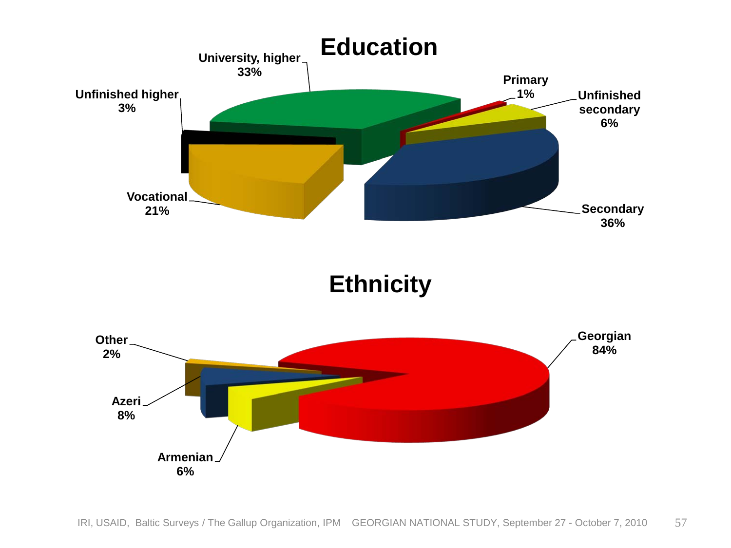![](_page_56_Figure_0.jpeg)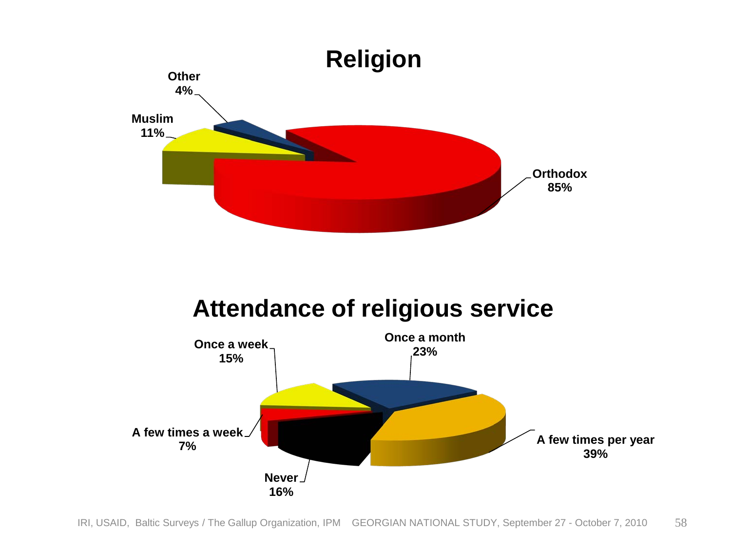![](_page_57_Figure_0.jpeg)

#### **Attendance of religious service**

![](_page_57_Figure_2.jpeg)